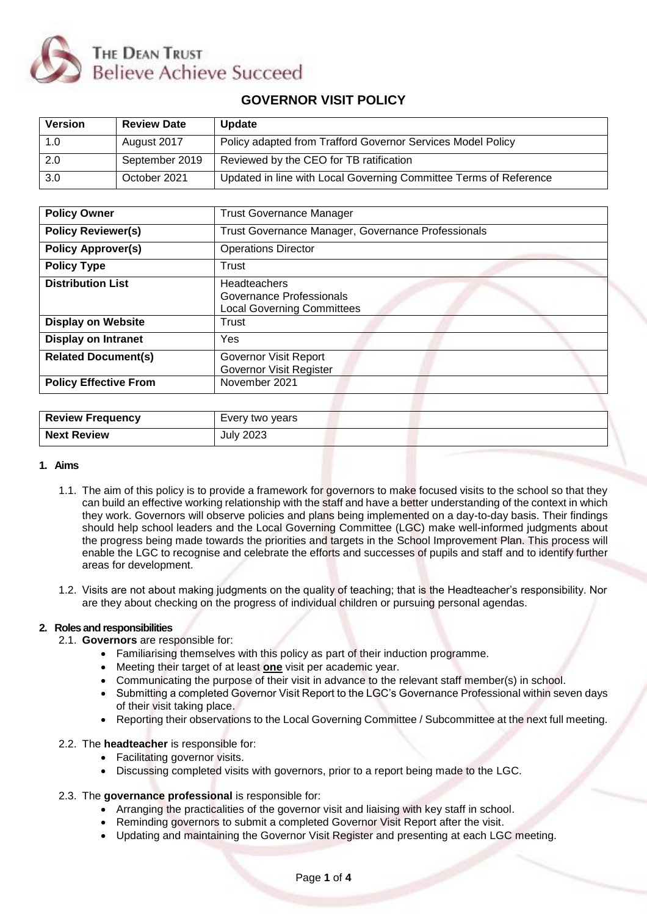

# **GOVERNOR VISIT POLICY**

| <b>Version</b> | <b>Review Date</b> | Update                                                            |
|----------------|--------------------|-------------------------------------------------------------------|
| 1.0            | August 2017        | Policy adapted from Trafford Governor Services Model Policy       |
| 2.0            | September 2019     | Reviewed by the CEO for TB ratification                           |
| 3.0            | October 2021       | Updated in line with Local Governing Committee Terms of Reference |

| <b>Policy Owner</b>          | <b>Trust Governance Manager</b>                                                      |  |  |
|------------------------------|--------------------------------------------------------------------------------------|--|--|
| <b>Policy Reviewer(s)</b>    | Trust Governance Manager, Governance Professionals                                   |  |  |
| <b>Policy Approver(s)</b>    | <b>Operations Director</b>                                                           |  |  |
| <b>Policy Type</b>           | Trust                                                                                |  |  |
| <b>Distribution List</b>     | <b>Headteachers</b><br>Governance Professionals<br><b>Local Governing Committees</b> |  |  |
| <b>Display on Website</b>    | Trust                                                                                |  |  |
| <b>Display on Intranet</b>   | <b>Yes</b>                                                                           |  |  |
| <b>Related Document(s)</b>   | Governor Visit Report<br>Governor Visit Register                                     |  |  |
| <b>Policy Effective From</b> | November 2021                                                                        |  |  |
|                              |                                                                                      |  |  |
| <b>Review Frequency</b>      | Every two years                                                                      |  |  |

#### **1. Aims**

- 1.1. The aim of this policy is to provide a framework for governors to make focused visits to the school so that they can build an effective working relationship with the staff and have a better understanding of the context in which they work. Governors will observe policies and plans being implemented on a day-to-day basis. Their findings should help school leaders and the Local Governing Committee (LGC) make well-informed judgments about the progress being made towards the priorities and targets in the School Improvement Plan. This process will enable the LGC to recognise and celebrate the efforts and successes of pupils and staff and to identify further areas for development.
- 1.2. Visits are not about making judgments on the quality of teaching; that is the Headteacher's responsibility. Nor are they about checking on the progress of individual children or pursuing personal agendas.

#### **2. Roles and responsibilities**

2.1. **Governors** are responsible for:

**Next Review July 2023** 

- Familiarising themselves with this policy as part of their induction programme.
- Meeting their target of at least **one** visit per academic year.
- Communicating the purpose of their visit in advance to the relevant staff member(s) in school.
- Submitting a completed Governor Visit Report to the LGC's Governance Professional within seven days of their visit taking place.
- Reporting their observations to the Local Governing Committee / Subcommittee at the next full meeting.

### 2.2. The **headteacher** is responsible for:

- Facilitating governor visits.
- Discussing completed visits with governors, prior to a report being made to the LGC.

#### 2.3. The **governance professional** is responsible for:

- Arranging the practicalities of the governor visit and liaising with key staff in school.
- Reminding governors to submit a completed Governor Visit Report after the visit.
- Updating and maintaining the Governor Visit Register and presenting at each LGC meeting.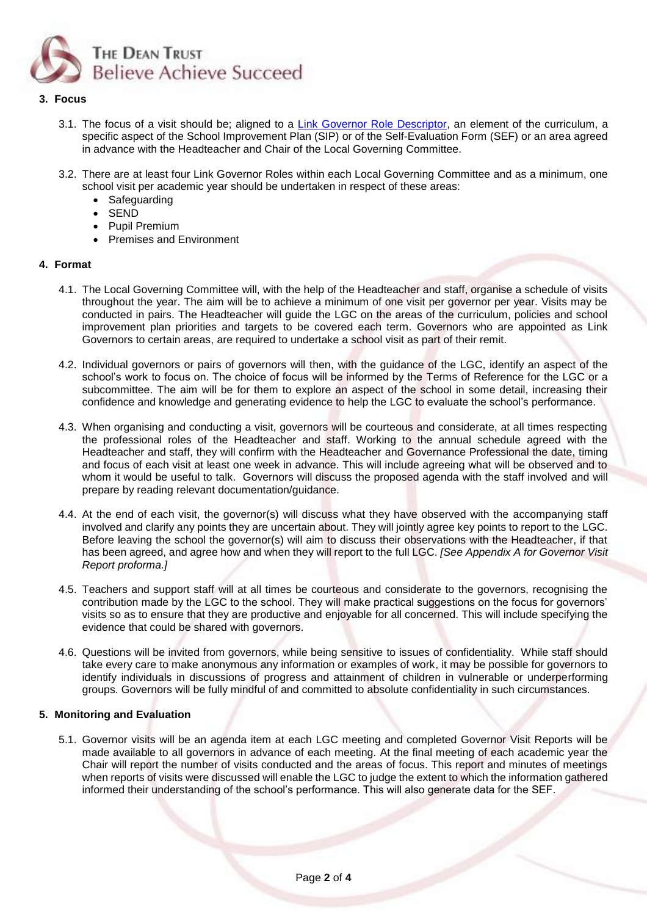

## **3. Focus**

- 3.1. The focus of a visit should be; aligned to a [Link Governor Role Descriptor,](https://www.thedeantrust.co.uk/governor-resources/meetingresources/role-descriptors/) an element of the curriculum, a specific aspect of the School Improvement Plan (SIP) or of the Self-Evaluation Form (SEF) or an area agreed in advance with the Headteacher and Chair of the Local Governing Committee.
- 3.2. There are at least four Link Governor Roles within each Local Governing Committee and as a minimum, one school visit per academic year should be undertaken in respect of these areas:
	- Safeguarding
	- SEND
	- Pupil Premium
	- Premises and Environment

### **4. Format**

- 4.1. The Local Governing Committee will, with the help of the Headteacher and staff, organise a schedule of visits throughout the year. The aim will be to achieve a minimum of one visit per governor per year. Visits may be conducted in pairs. The Headteacher will guide the LGC on the areas of the curriculum, policies and school improvement plan priorities and targets to be covered each term. Governors who are appointed as Link Governors to certain areas, are required to undertake a school visit as part of their remit.
- 4.2. Individual governors or pairs of governors will then, with the guidance of the LGC, identify an aspect of the school's work to focus on. The choice of focus will be informed by the Terms of Reference for the LGC or a subcommittee. The aim will be for them to explore an aspect of the school in some detail, increasing their confidence and knowledge and generating evidence to help the LGC to evaluate the school's performance.
- 4.3. When organising and conducting a visit, governors will be courteous and considerate, at all times respecting the professional roles of the Headteacher and staff. Working to the annual schedule agreed with the Headteacher and staff, they will confirm with the Headteacher and Governance Professional the date, timing and focus of each visit at least one week in advance. This will include agreeing what will be observed and to whom it would be useful to talk. Governors will discuss the proposed agenda with the staff involved and will prepare by reading relevant documentation/guidance.
- 4.4. At the end of each visit, the governor(s) will discuss what they have observed with the accompanying staff involved and clarify any points they are uncertain about. They will jointly agree key points to report to the LGC. Before leaving the school the governor(s) will aim to discuss their observations with the Headteacher, if that has been agreed, and agree how and when they will report to the full LGC. *[See Appendix A for Governor Visit Report proforma.]*
- 4.5. Teachers and support staff will at all times be courteous and considerate to the governors, recognising the contribution made by the LGC to the school. They will make practical suggestions on the focus for governors' visits so as to ensure that they are productive and enjoyable for all concerned. This will include specifying the evidence that could be shared with governors.
- 4.6. Questions will be invited from governors, while being sensitive to issues of confidentiality. While staff should take every care to make anonymous any information or examples of work, it may be possible for governors to identify individuals in discussions of progress and attainment of children in vulnerable or underperforming groups. Governors will be fully mindful of and committed to absolute confidentiality in such circumstances.

#### **5. Monitoring and Evaluation**

5.1. Governor visits will be an agenda item at each LGC meeting and completed Governor Visit Reports will be made available to all governors in advance of each meeting. At the final meeting of each academic year the Chair will report the number of visits conducted and the areas of focus. This report and minutes of meetings when reports of visits were discussed will enable the LGC to judge the extent to which the information gathered informed their understanding of the school's performance. This will also generate data for the SEF.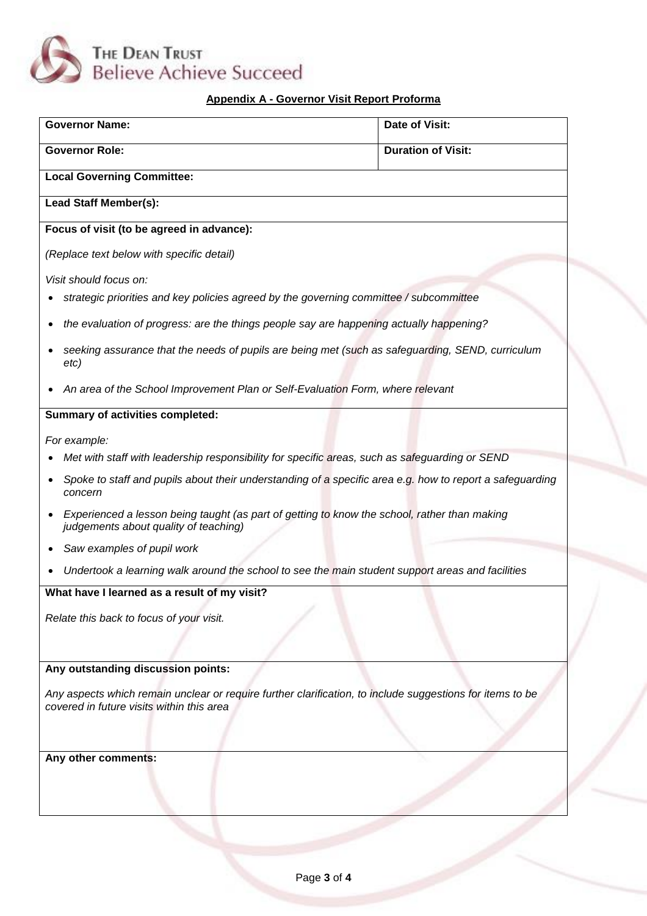

# **Appendix A - Governor Visit Report Proforma**

| <b>Governor Name:</b>                                                                                                                                  | <b>Date of Visit:</b>     |  |  |  |
|--------------------------------------------------------------------------------------------------------------------------------------------------------|---------------------------|--|--|--|
| <b>Governor Role:</b>                                                                                                                                  | <b>Duration of Visit:</b> |  |  |  |
| <b>Local Governing Committee:</b>                                                                                                                      |                           |  |  |  |
| Lead Staff Member(s):                                                                                                                                  |                           |  |  |  |
| Focus of visit (to be agreed in advance):                                                                                                              |                           |  |  |  |
| (Replace text below with specific detail)                                                                                                              |                           |  |  |  |
| Visit should focus on:                                                                                                                                 |                           |  |  |  |
| strategic priorities and key policies agreed by the governing committee / subcommittee                                                                 |                           |  |  |  |
| the evaluation of progress: are the things people say are happening actually happening?                                                                |                           |  |  |  |
| seeking assurance that the needs of pupils are being met (such as safeguarding, SEND, curriculum<br>etc)                                               |                           |  |  |  |
| An area of the School Improvement Plan or Self-Evaluation Form, where relevant                                                                         |                           |  |  |  |
| <b>Summary of activities completed:</b>                                                                                                                |                           |  |  |  |
| For example:                                                                                                                                           |                           |  |  |  |
| Met with staff with leadership responsibility for specific areas, such as safeguarding or SEND                                                         |                           |  |  |  |
| Spoke to staff and pupils about their understanding of a specific area e.g. how to report a safeguarding<br>concern                                    |                           |  |  |  |
| Experienced a lesson being taught (as part of getting to know the school, rather than making<br>judgements about quality of teaching)                  |                           |  |  |  |
| Saw examples of pupil work                                                                                                                             |                           |  |  |  |
| Undertook a learning walk around the school to see the main student support areas and facilities                                                       |                           |  |  |  |
| What have I learned as a result of my visit?                                                                                                           |                           |  |  |  |
| Relate this back to focus of your visit.                                                                                                               |                           |  |  |  |
|                                                                                                                                                        |                           |  |  |  |
| Any outstanding discussion points:                                                                                                                     |                           |  |  |  |
| Any aspects which remain unclear or require further clarification, to include suggestions for items to be<br>covered in future visits within this area |                           |  |  |  |
| Any other comments:                                                                                                                                    |                           |  |  |  |
|                                                                                                                                                        |                           |  |  |  |
|                                                                                                                                                        |                           |  |  |  |